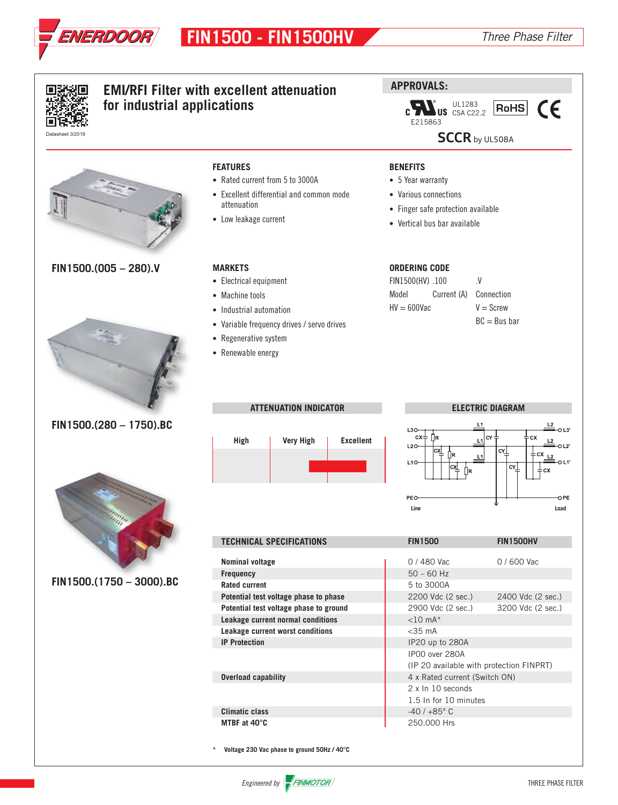

|                             | <b>EMI/RFI Filter with excellent attenuation</b> | <b>APPROVALS:</b>                                             |  |  |  |  |  |  |  |
|-----------------------------|--------------------------------------------------|---------------------------------------------------------------|--|--|--|--|--|--|--|
| for industrial applications |                                                  | $\text{US}$ UL1283<br>US CSA C22.2<br>CE<br>$ \mathsf{RoHS} $ |  |  |  |  |  |  |  |
|                             |                                                  | E215863                                                       |  |  |  |  |  |  |  |
| Datasheet 3/2019            |                                                  | <b>SCCR</b> by UL508A                                         |  |  |  |  |  |  |  |
|                             |                                                  |                                                               |  |  |  |  |  |  |  |
|                             | <b>FEATURES</b>                                  | <b>BENEFITS</b>                                               |  |  |  |  |  |  |  |
|                             | • Rated current from 5 to 3000A                  | • 5 Year warranty                                             |  |  |  |  |  |  |  |
|                             | • Excellent differential and common mode         | • Various connections                                         |  |  |  |  |  |  |  |
|                             | attenuation                                      |                                                               |  |  |  |  |  |  |  |
|                             | • Low leakage current                            | • Finger safe protection available                            |  |  |  |  |  |  |  |
|                             |                                                  | • Vertical bus bar available                                  |  |  |  |  |  |  |  |
|                             |                                                  |                                                               |  |  |  |  |  |  |  |
|                             |                                                  |                                                               |  |  |  |  |  |  |  |
| $FIN1500.(005 - 280).V$     | <b>MARKETS</b>                                   | <b>ORDERING CODE</b>                                          |  |  |  |  |  |  |  |
|                             | • Electrical equipment                           | .V.<br>FIN1500(HV) .100                                       |  |  |  |  |  |  |  |
|                             | • Machine tools                                  | Current (A)<br>Connection<br>Model                            |  |  |  |  |  |  |  |
|                             | • Industrial automation                          | $HV = 600Vac$<br>$V =$ Screw                                  |  |  |  |  |  |  |  |
|                             | • Variable frequency drives / servo drives       | $BC = Bus$ bar                                                |  |  |  |  |  |  |  |
|                             | • Regenerative system                            |                                                               |  |  |  |  |  |  |  |
|                             |                                                  |                                                               |  |  |  |  |  |  |  |
|                             | • Renewable energy                               |                                                               |  |  |  |  |  |  |  |
|                             |                                                  |                                                               |  |  |  |  |  |  |  |
|                             |                                                  |                                                               |  |  |  |  |  |  |  |
|                             |                                                  |                                                               |  |  |  |  |  |  |  |
|                             | <b>ATTENUATION INDICATOR</b>                     | <b>ELECTRIC DIAGRAM</b>                                       |  |  |  |  |  |  |  |
| FIN1500.(280 - 1750).BC     |                                                  | L3O                                                           |  |  |  |  |  |  |  |
|                             | High<br><b>Very High</b><br><b>Excellent</b>     | $cx =$<br><b>IR</b><br>CY<br>cх                               |  |  |  |  |  |  |  |
|                             |                                                  | $L2O-$<br>cY⊥                                                 |  |  |  |  |  |  |  |
|                             |                                                  | $L1O-$<br>CY                                                  |  |  |  |  |  |  |  |
|                             |                                                  |                                                               |  |  |  |  |  |  |  |
|                             |                                                  |                                                               |  |  |  |  |  |  |  |
|                             |                                                  | PEO-<br>OPE<br>Line<br>Load                                   |  |  |  |  |  |  |  |
|                             |                                                  |                                                               |  |  |  |  |  |  |  |
|                             |                                                  |                                                               |  |  |  |  |  |  |  |
|                             |                                                  |                                                               |  |  |  |  |  |  |  |
|                             | <b>TECHNICAL SPECIFICATIONS</b>                  | <b>FIN1500</b><br><b>FIN1500HV</b>                            |  |  |  |  |  |  |  |
|                             |                                                  |                                                               |  |  |  |  |  |  |  |
|                             | Nominal voltage                                  | 0 / 600 Vac<br>0 / 480 Vac                                    |  |  |  |  |  |  |  |
| FIN1500.(1750 - 3000).BC    | <b>Frequency</b><br><b>Rated current</b>         | $50 - 60$ Hz<br>5 to 3000A                                    |  |  |  |  |  |  |  |
|                             | Potential test voltage phase to phase            | 2200 Vdc (2 sec.)<br>2400 Vdc (2 sec.)                        |  |  |  |  |  |  |  |
|                             | Potential test voltage phase to ground           | 2900 Vdc (2 sec.)<br>3200 Vdc (2 sec.)                        |  |  |  |  |  |  |  |
|                             | Leakage current normal conditions                | $<$ 10 mA $*$                                                 |  |  |  |  |  |  |  |
|                             | Leakage current worst conditions                 | $<$ 35 $mA$                                                   |  |  |  |  |  |  |  |
|                             | <b>IP Protection</b>                             | IP20 up to 280A                                               |  |  |  |  |  |  |  |
|                             |                                                  | IP00 over 280A                                                |  |  |  |  |  |  |  |
|                             |                                                  | (IP 20 available with protection FINPRT)                      |  |  |  |  |  |  |  |
|                             | <b>Overload capability</b>                       | 4 x Rated current (Switch ON)<br>2 x In 10 seconds            |  |  |  |  |  |  |  |
|                             |                                                  | 1.5 In for 10 minutes                                         |  |  |  |  |  |  |  |
|                             | <b>Climatic class</b><br>MTBF at 40°C            | $-40/+85^{\circ}$ C<br>250.000 Hrs                            |  |  |  |  |  |  |  |

**\* Voltage 230 Vac phase to ground 50Hz / 40°C**

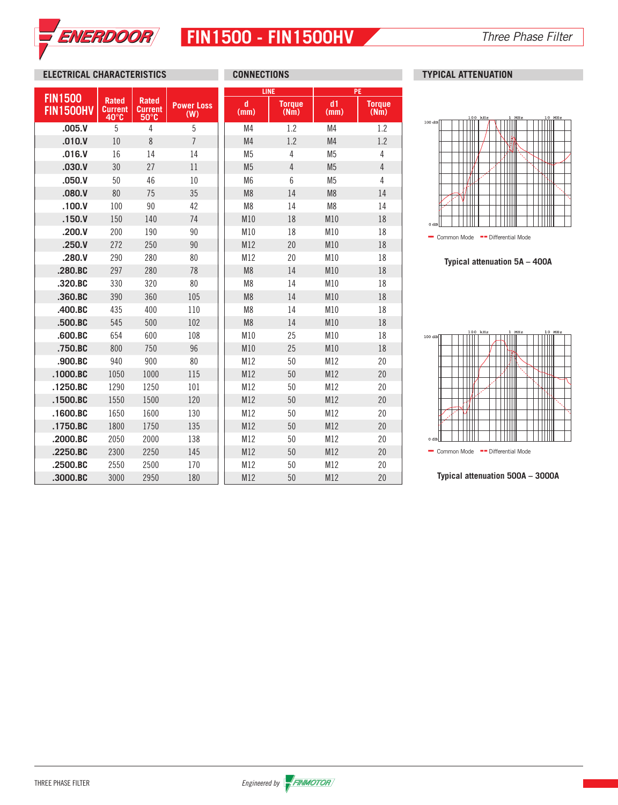

# **FIN1500 - FIN1500HV** *Three Phase Filter*

## **ELECTRICAL CHARACTERISTICS CONNECTIONS TYPICAL ATTENUATION**

|                                    |                                                           |                                                  |                          | <b>LINE</b>    | <b>PE</b>             |                |                       |  |
|------------------------------------|-----------------------------------------------------------|--------------------------------------------------|--------------------------|----------------|-----------------------|----------------|-----------------------|--|
| <b>FIN1500</b><br><b>FIN1500HV</b> | <b>Rated</b><br><b>Current</b><br>$40^\circ$ <sub>C</sub> | <b>Rated</b><br><b>Current</b><br>$50^{\circ}$ C | <b>Power Loss</b><br>(W) | d<br>(mm)      | <b>Torque</b><br>(Nm) | d1<br>(mm)     | <b>Torque</b><br>(Nm) |  |
| .005.V                             | 5                                                         | 4                                                | 5                        | M <sub>4</sub> | 1.2                   | M4             | 1.2                   |  |
| .010.V                             | 10                                                        | 8                                                | $\overline{7}$           | M <sub>4</sub> | 1.2                   | M4             | 1.2                   |  |
| .016.V                             | 16                                                        | 14                                               | 14                       | M <sub>5</sub> | 4                     | M <sub>5</sub> | 4                     |  |
| .030.V                             | 30                                                        | 27                                               | 11                       | M <sub>5</sub> | $\sqrt{4}$            | M <sub>5</sub> | $\overline{4}$        |  |
| .050. V                            | 50                                                        | 46                                               | 10                       | M <sub>6</sub> | 6                     | M <sub>5</sub> | 4                     |  |
| .080.V                             | 80                                                        | 75                                               | 35                       | M <sub>8</sub> | 14                    | M <sub>8</sub> | 14                    |  |
| .100.V                             | 100                                                       | 90                                               | 42                       | M <sub>8</sub> | 14                    | M <sub>8</sub> | 14                    |  |
| .150. V                            | 150                                                       | 140                                              | 74                       | M10            | 18                    | M10            | 18                    |  |
| .200.V                             | 200                                                       | 190                                              | 90                       | M10            | 18                    | M10            | 18                    |  |
| .250. V                            | 272                                                       | 250                                              | 90                       | M12            | 20                    | M10            | 18                    |  |
| .280.V                             | 290                                                       | 280                                              | 80                       | M12            | 20                    | M10            | 18                    |  |
| .280.BC                            | 297                                                       | 280                                              | 78                       | M <sub>8</sub> | 14                    | M10            | 18                    |  |
| .320.BC                            | 330                                                       | 320                                              | 80                       | M <sub>8</sub> | 14                    | M10            | 18                    |  |
| .360.BC                            | 390                                                       | 360                                              | 105                      | M <sub>8</sub> | 14                    | M10            | 18                    |  |
| .400.BC                            | 435                                                       | 400                                              | 110                      | M <sub>8</sub> | 14                    | M10            | 18                    |  |
| .500.BC                            | 545                                                       | 500                                              | 102                      | M <sub>8</sub> | 14                    | M10            | 18                    |  |
| .600.BC                            | 654                                                       | 600                                              | 108                      | M10            | 25                    | M10            | 18                    |  |
| .750.BC                            | 800                                                       | 750                                              | 96                       | M10            | 25                    | M10            | 18                    |  |
| .900.BC                            | 940                                                       | 900                                              | 80                       | M12            | 50                    | M12            | 20                    |  |
| $.1000$ .BC                        | 1050                                                      | 1000                                             | 115                      | M12            | 50                    | M12            | 20                    |  |
| .1250.BC                           | 1290                                                      | 1250                                             | 101                      | M12            | 50                    | M12            | 20                    |  |
| .1500.BC                           | 1550                                                      | 1500                                             | 120                      | M12            | 50                    | M12            | 20                    |  |
| .1600.BC                           | 1650                                                      | 1600                                             | 130                      | M12            | 50                    | M12            | 20                    |  |
| .1750.BC                           | 1800                                                      | 1750                                             | 135                      | M12            | 50                    | M12            | 20                    |  |
| .2000.BC                           | 2050                                                      | 2000                                             | 138                      | M12            | 50                    | M12            | 20                    |  |
| .2250.BC                           | 2300                                                      | 2250                                             | 145                      | M12            | 50                    | M12            | 20                    |  |
| .2500.BC                           | 2550                                                      | 2500                                             | 170                      | M12            | 50                    | M12            | 20                    |  |
| .3000.BC                           | 3000                                                      | 2950                                             | 180                      | M12            | 50                    | M12            | 20                    |  |



- Common Mode -- Differential Mode

**Typical attenuation 5A – 400A**



**Typical attenuation 500A – 3000A**

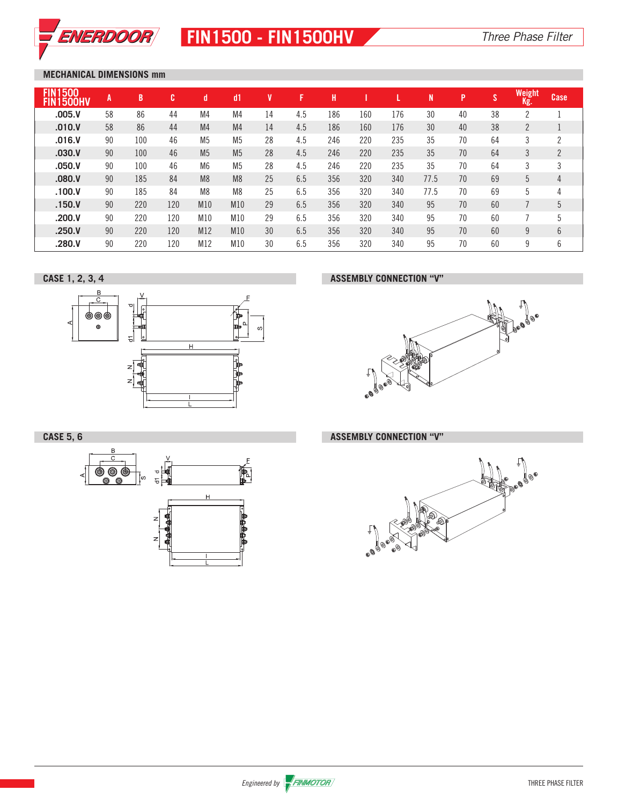

# **FIN1500 - FIN1500HV** *Three Phase Filter*

## **MECHANICAL DIMENSIONS mm**

| 500<br><b>FIN1</b><br><b>500HV</b> | A  | B   | c   | d              | dd1            |    | 17  | Н   |     |     | N    | P  | $\mathbf{C}$<br>S | Weight<br>Kg.  | Case |
|------------------------------------|----|-----|-----|----------------|----------------|----|-----|-----|-----|-----|------|----|-------------------|----------------|------|
| .005.V                             | 58 | 86  | 44  | M4             | M4             | 14 | 4.5 | 186 | 160 | 176 | 30   | 40 | 38                | <sup>2</sup>   |      |
| .010.V                             | 58 | 86  | 44  | M <sub>4</sub> | M <sub>4</sub> | 14 | 4.5 | 186 | 160 | 176 | 30   | 40 | 38                | $\overline{2}$ |      |
| .016.V                             | 90 | 100 | 46  | M <sub>5</sub> | M <sub>5</sub> | 28 | 4.5 | 246 | 220 | 235 | 35   | 70 | 64                | 3              |      |
| .030.V                             | 90 | 100 | 46  | M <sub>5</sub> | M <sub>5</sub> | 28 | 4.5 | 246 | 220 | 235 | 35   | 70 | 64                | 3              | 2    |
| .050. V                            | 90 | 100 | 46  | M <sub>6</sub> | M <sub>5</sub> | 28 | 4.5 | 246 | 220 | 235 | 35   | 70 | 64                | 3              | 3    |
| .080. V                            | 90 | 185 | 84  | M <sub>8</sub> | M <sub>8</sub> | 25 | 6.5 | 356 | 320 | 340 | 77.5 | 70 | 69                | 5              | 4    |
| .100.V                             | 90 | 185 | 84  | M <sub>8</sub> | M <sub>8</sub> | 25 | 6.5 | 356 | 320 | 340 | 77.5 | 70 | 69                | 5              | 4    |
| .150. V                            | 90 | 220 | 120 | M10            | M10            | 29 | 6.5 | 356 | 320 | 340 | 95   | 70 | 60                |                | 5    |
| .200.V                             | 90 | 220 | 120 | M10            | M10            | 29 | 6.5 | 356 | 320 | 340 | 95   | 70 | 60                |                | 5    |
| .250. V                            | 90 | 220 | 120 | M12            | M10            | 30 | 6.5 | 356 | 320 | 340 | 95   | 70 | 60                | 9              | 6    |
| .280.V                             | 90 | 220 | 120 | M12            | M10            | 30 | 6.5 | 356 | 320 | 340 | 95   | 70 | 60                | 9              | 6    |

**CASE 1, 2, 3, 4 ASSEMBLY CONNECTION "V"**





**CASE 5, 6 ASSEMBLY CONNECTION "V"**